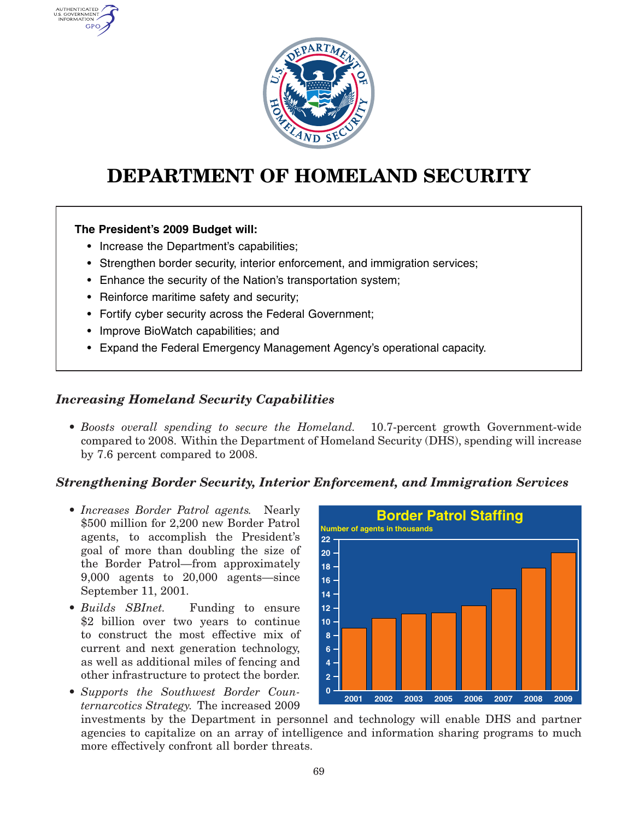

# **DEPARTMENT OF HOMELAND SECURITY**

#### **The President's 2009 Budget will:**

AUTHENTICATED U.S. GOVERNMENT GPO

- Increase the Department's capabilities;
- Strengthen border security, interior enforcement, and immigration services;
- Enhance the security of the Nation's transportation system;
- Reinforce maritime safety and security;
- Fortify cyber security across the Federal Government;
- Improve BioWatch capabilities; and
- Expand the Federal Emergency Management Agency's operational capacity.

## *Increasing Homeland Security Capabilities*

• *Boosts overall spending to secure the Homeland.* 10.7-percent growth Government-wide compared to 2008. Within the Department of Homeland Security (DHS), spending will increase by 7.6 percent compared to 2008.

## *Strengthening Border Security, Interior Enforcement, and Immigration Services*

- *Increases Border Patrol agents.* Nearly **Border Patrol Staffing** \$500 million for 2,200 new Border Patrol agents, to accomplish the President's goal of more than doubling the size of the Border Patrol—from approximately 9,000 agents to 20,000 agents—since September 11, 2001.
- Builds SBInet. Funding to ensure. \$2 billion over two years to continue to construct the most effective mix of current and next generation technology, as well as additional miles of fencing and other infrastructure to protect the border.
- *Supports the Southwest Border Counternarcotics Strategy.* The increased 2009



investments by the Department in personnel and technology will enable DHS and partner agencies to capitalize on an array of intelligence and information sharing programs to much more effectively confront all border threats.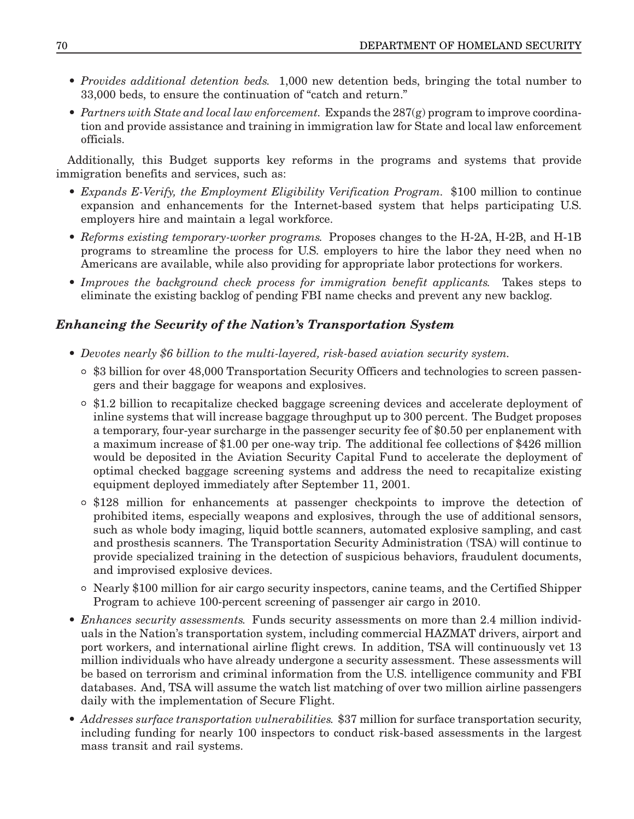- *Provides additional detention beds.* 1,000 new detention beds, bringing the total number to 33,000 beds, to ensure the continuation of "catch and return."
- *Partners with State and local law enforcement.* Expands the 287(g) program to improve coordination and provide assistance and training in immigration law for State and local law enforcement officials.

Additionally, this Budget supports key reforms in the programs and systems that provide immigration benefits and services, such as:

- *Expands E-Verify, the Employment Eligibility Verification Program.* \$100 million to continue expansion and enhancements for the Internet-based system that helps participating U.S. employers hire and maintain <sup>a</sup> legal workforce.
- *Reforms existing temporary-worker programs.* Proposes changes to the H-2A, H-2B, and H-1B programs to streamline the process for U.S. employers to hire the labor they need when no Americans are available, while also providing for appropriate labor protections for workers.
- *Improves the background check process for immigration benefit applicants.* Takes steps to eliminate the existing backlog of pending FBI name checks and prevent any new backlog.

## *Enhancing the Security of the Nation's Transportation System*

- *Devotes nearly \$6 billion to the multi-layered, risk-based aviation security system.*
	- ° \$3 billion for over 48,000 Transportation Security Officers and technologies to screen passengers and their baggage for weapons and explosives.
	- ° \$1.2 billion to recapitalize checked baggage screening devices and accelerate deployment of inline systems that will increase baggage throughput up to 300 percent. The Budget proposes <sup>a</sup> temporary, four-year surcharge in the passenger security fee of \$0.50 per enplanement with <sup>a</sup> maximum increase of \$1.00 per one-way trip. The additional fee collections of \$426 million would be deposited in the Aviation Security Capital Fund to accelerate the deployment of optimal checked baggage screening systems and address the need to recapitalize existing equipment deployed immediately after September 11, 2001.
	- ° \$128 million for enhancements at passenger checkpoints to improve the detection of prohibited items, especially weapons and explosives, through the use of additional sensors, such as whole body imaging, liquid bottle scanners, automated explosive sampling, and cast and prosthesis scanners. The Transportation Security Administration (TSA) will continue to provide specialized training in the detection of suspicious behaviors, fraudulent documents, and improvised explosive devices.
	- ° Nearly \$100 million for air cargo security inspectors, canine teams, and the Certified Shipper Program to achieve 100-percent screening of passenger air cargo in 2010.
- *Enhances security assessments.* Funds security assessments on more than 2.4 million individuals in the Nation's transportation system, including commercial HAZMAT drivers, airport and port workers, and international airline flight crews. In addition, TSA will continuously vet 13 million individuals who have already undergone <sup>a</sup> security assessment. These assessments will be based on terrorism and criminal information from the U.S. intelligence community and FBI databases. And, TSA will assume the watch list matching of over two million airline passengers daily with the implementation of Secure Flight.
- *Addresses surface transportation vulnerabilities.* \$37 million for surface transportation security, including funding for nearly 100 inspectors to conduct risk-based assessments in the largest mass transit and rail systems.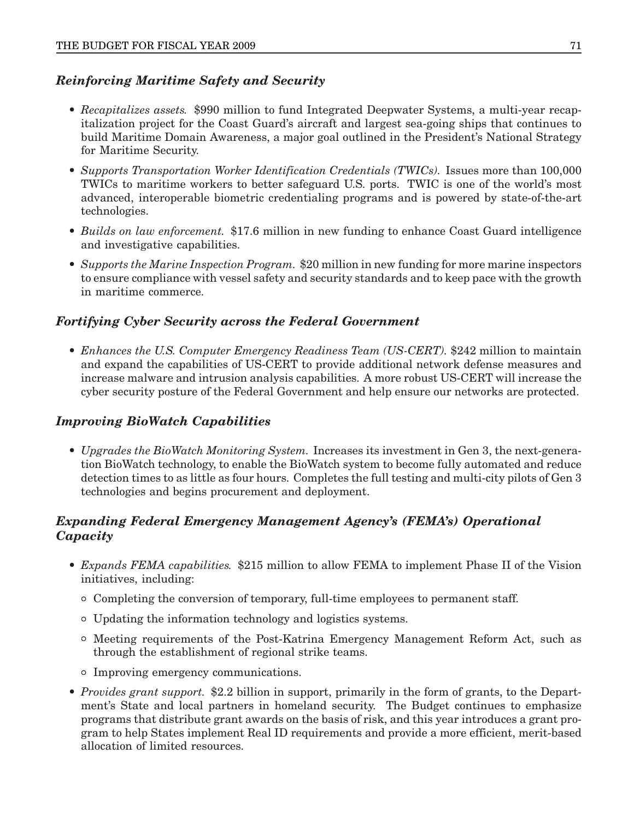# *Reinforcing Maritime Safety and Security*

- *Recapitalizes assets.* \$990 million to fund Integrated Deepwater Systems, <sup>a</sup> multi-year recapitalization project for the Coast Guard's aircraft and largest sea-going ships that continues to build Maritime Domain Awareness, <sup>a</sup> major goal outlined in the President's National Strategy for Maritime Security.
- *Supports Transportation Worker Identification Credentials (TWICs).* Issues more than 100,000 TWICs to maritime workers to better safeguard U.S. ports. TWIC is one of the world's most advanced, interoperable biometric credentialing programs and is powered by state-of-the-art technologies.
- *Builds on law enforcement.* \$17.6 million in new funding to enhance Coast Guard intelligence and investigative capabilities.
- *Supports the Marine Inspection Program.* \$20 million in new funding for more marine inspectors to ensure compliance with vessel safety and security standards and to keep pace with the growth in maritime commerce.

## *Fortifying Cyber Security across the Federal Government*

• *Enhances the U.S. Computer Emergency Readiness Team (US-CERT).* \$242 million to maintain and expand the capabilities of US-CERT to provide additional network defense measures and increase malware and intrusion analysis capabilities. A more robust US-CERT will increase the cyber security posture of the Federal Government and help ensure our networks are protected.

## *Improving BioWatch Capabilities*

• *Upgrades the BioWatch Monitoring System.* Increases its investment in Gen 3, the next-generation BioWatch technology, to enable the BioWatch system to become fully automated and reduce detection times to as little as four hours. Completes the full testing and multi-city pilots of Gen 3 technologies and begins procurement and deployment.

## *Expanding Federal Emergency Management Agency's (FEMA's) Operational Capacity*

- *Expands FEMA capabilities.* \$215 million to allow FEMA to implement Phase II of the Vision initiatives, including:
	- ° Completing the conversion of temporary, full-time employees to permanent staff.
	- ° Updating the information technology and logistics systems.
	- ° Meeting requirements of the Post-Katrina Emergency Management Reform Act, such as through the establishment of regional strike teams.
	- ° Improving emergency communications.
- *Provides grant support.* \$2.2 billion in support, primarily in the form of grants, to the Department's State and local partners in homeland security. The Budget continues to emphasize programs that distribute grant awards on the basis of risk, and this year introduces <sup>a</sup> grant program to help States implement Real ID requirements and provide <sup>a</sup> more efficient, merit-based allocation of limited resources.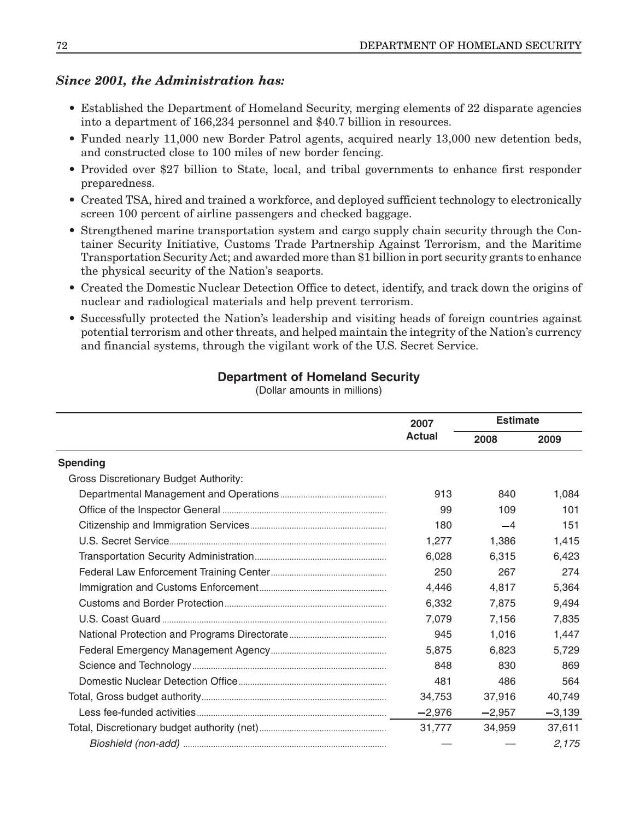## *Since 2001, the Administration has:*

- Established the Department of Homeland Security, merging elements of 22 disparate agencies into <sup>a</sup> department of 166,234 personnel and \$40.7 billion in resources.
- Funded nearly 11,000 new Border Patrol agents, acquired nearly 13,000 new detention beds, and constructed close to 100 miles of new border fencing.
- Provided over \$27 billion to State, local, and tribal governments to enhance first responder preparedness.
- Created TSA, hired and trained <sup>a</sup> workforce, and deployed sufficient technology to electronically screen 100 percent of airline passengers and checked baggage.
- Strengthened marine transportation system and cargo supply chain security through the Container Security Initiative, Customs Trade Partnership Against Terrorism, and the Maritime Transportation Security Act; and awarded more than \$1 billion in port security grants to enhance the physical security of the Nation's seaports.
- Created the Domestic Nuclear Detection Office to detect, identify, and track down the origins of nuclear and radiological materials and help prevent terrorism.
- Successfully protected the Nation's leadership and visiting heads of foreign countries against potential terrorism and other threats, and helped maintain the integrity of the Nation's currency and financial systems, through the vigilant work of the U.S. Secret Service.

#### **Department of Homeland Security**

(Dollar amounts in millions)

|                                              | 2007<br><b>Actual</b> | <b>Estimate</b> |          |
|----------------------------------------------|-----------------------|-----------------|----------|
|                                              |                       | 2008            | 2009     |
| <b>Spending</b>                              |                       |                 |          |
| <b>Gross Discretionary Budget Authority:</b> |                       |                 |          |
|                                              | 913                   | 840             | 1,084    |
|                                              | 99                    | 109             | 101      |
|                                              | 180                   | $-4$            | 151      |
|                                              | 1,277                 | 1,386           | 1,415    |
|                                              | 6.028                 | 6.315           | 6,423    |
|                                              | 250                   | 267             | 274      |
|                                              | 4,446                 | 4,817           | 5,364    |
|                                              | 6,332                 | 7,875           | 9,494    |
|                                              | 7,079                 | 7,156           | 7,835    |
|                                              | 945                   | 1,016           | 1,447    |
|                                              | 5.875                 | 6.823           | 5.729    |
|                                              | 848                   | 830             | 869      |
|                                              | 481                   | 486             | 564      |
|                                              | 34,753                | 37,916          | 40,749   |
|                                              | $-2,976$              | $-2.957$        | $-3,139$ |
|                                              | 31.777                | 34,959          | 37.611   |
|                                              |                       |                 | 2,175    |